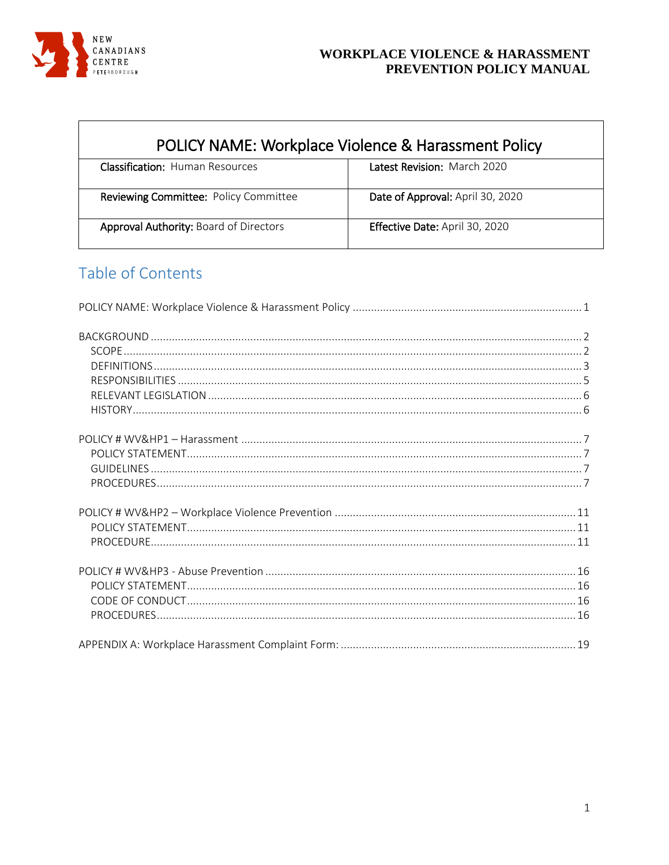

<span id="page-0-0"></span>

| POLICY NAME: Workplace Violence & Harassment Policy |                                  |  |
|-----------------------------------------------------|----------------------------------|--|
| <b>Classification: Human Resources</b>              | Latest Revision: March 2020      |  |
| Reviewing Committee: Policy Committee               | Date of Approval: April 30, 2020 |  |
| <b>Approval Authority: Board of Directors</b>       | Effective Date: April 30, 2020   |  |

# Table of Contents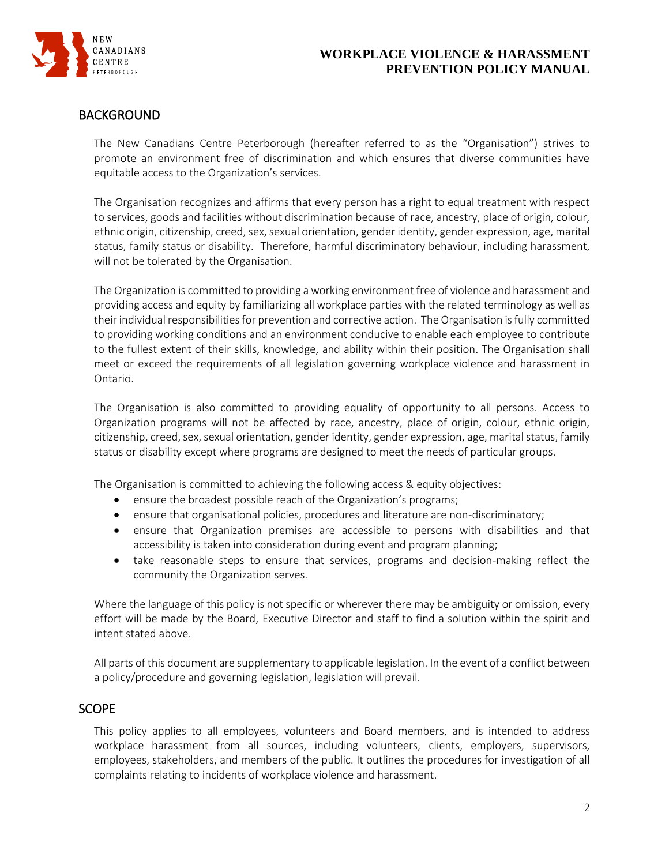

# <span id="page-1-0"></span>BACKGROUND

The New Canadians Centre Peterborough (hereafter referred to as the "Organisation") strives to promote an environment free of discrimination and which ensures that diverse communities have equitable access to the Organization's services.

The Organisation recognizes and affirms that every person has a right to equal treatment with respect to services, goods and facilities without discrimination because of race, ancestry, place of origin, colour, ethnic origin, citizenship, creed, sex, sexual orientation, gender identity, gender expression, age, marital status, family status or disability. Therefore, harmful discriminatory behaviour, including harassment, will not be tolerated by the Organisation.

The Organization is committed to providing a working environment free of violence and harassment and providing access and equity by familiarizing all workplace parties with the related terminology as well as their individual responsibilities for prevention and corrective action. The Organisation is fully committed to providing working conditions and an environment conducive to enable each employee to contribute to the fullest extent of their skills, knowledge, and ability within their position. The Organisation shall meet or exceed the requirements of all legislation governing workplace violence and harassment in Ontario.

The Organisation is also committed to providing equality of opportunity to all persons. Access to Organization programs will not be affected by race, ancestry, place of origin, colour, ethnic origin, citizenship, creed, sex, sexual orientation, gender identity, gender expression, age, marital status, family status or disability except where programs are designed to meet the needs of particular groups.

The Organisation is committed to achieving the following access & equity objectives:

- ensure the broadest possible reach of the Organization's programs;
- ensure that organisational policies, procedures and literature are non-discriminatory;
- ensure that Organization premises are accessible to persons with disabilities and that accessibility is taken into consideration during event and program planning;
- take reasonable steps to ensure that services, programs and decision-making reflect the community the Organization serves.

Where the language of this policy is not specific or wherever there may be ambiguity or omission, every effort will be made by the Board, Executive Director and staff to find a solution within the spirit and intent stated above.

All parts of this document are supplementary to applicable legislation. In the event of a conflict between a policy/procedure and governing legislation, legislation will prevail.

# <span id="page-1-1"></span>**SCOPE**

This policy applies to all employees, volunteers and Board members, and is intended to address workplace harassment from all sources, including volunteers, clients, employers, supervisors, employees, stakeholders, and members of the public. It outlines the procedures for investigation of all complaints relating to incidents of workplace violence and harassment.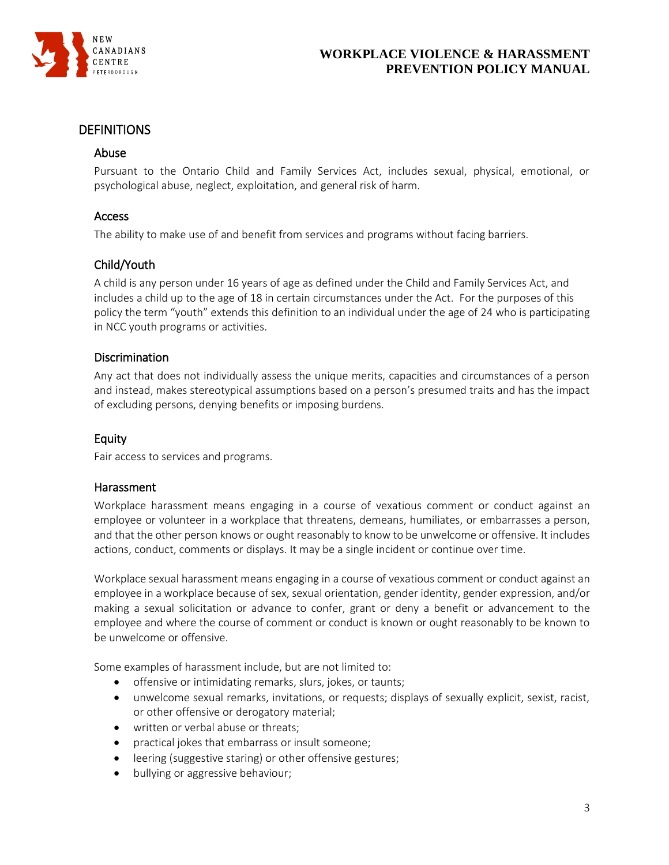

### <span id="page-2-0"></span>DEFINITIONS

#### Abuse

Pursuant to the Ontario Child and Family Services Act, includes sexual, physical, emotional, or psychological abuse, neglect, exploitation, and general risk of harm.

#### Access

The ability to make use of and benefit from services and programs without facing barriers.

### Child/Youth

A child is any person under 16 years of age as defined under the Child and Family Services Act, and includes a child up to the age of 18 in certain circumstances under the Act. For the purposes of this policy the term "youth" extends this definition to an individual under the age of 24 who is participating in NCC youth programs or activities.

#### **Discrimination**

Any act that does not individually assess the unique merits, capacities and circumstances of a person and instead, makes stereotypical assumptions based on a person's presumed traits and has the impact of excluding persons, denying benefits or imposing burdens.

### Equity

Fair access to services and programs.

#### Harassment

Workplace harassment means engaging in a course of vexatious comment or conduct against an employee or volunteer in a workplace that threatens, demeans, humiliates, or embarrasses a person, and that the other person knows or ought reasonably to know to be unwelcome or offensive. It includes actions, conduct, comments or displays. It may be a single incident or continue over time.

Workplace sexual harassment means engaging in a course of vexatious comment or conduct against an employee in a workplace because of sex, sexual orientation, gender identity, gender expression, and/or making a sexual solicitation or advance to confer, grant or deny a benefit or advancement to the employee and where the course of comment or conduct is known or ought reasonably to be known to be unwelcome or offensive.

Some examples of harassment include, but are not limited to:

- offensive or intimidating remarks, slurs, jokes, or taunts;
- unwelcome sexual remarks, invitations, or requests; displays of sexually explicit, sexist, racist, or other offensive or derogatory material;
- written or verbal abuse or threats;
- practical jokes that embarrass or insult someone;
- leering (suggestive staring) or other offensive gestures;
- bullying or aggressive behaviour;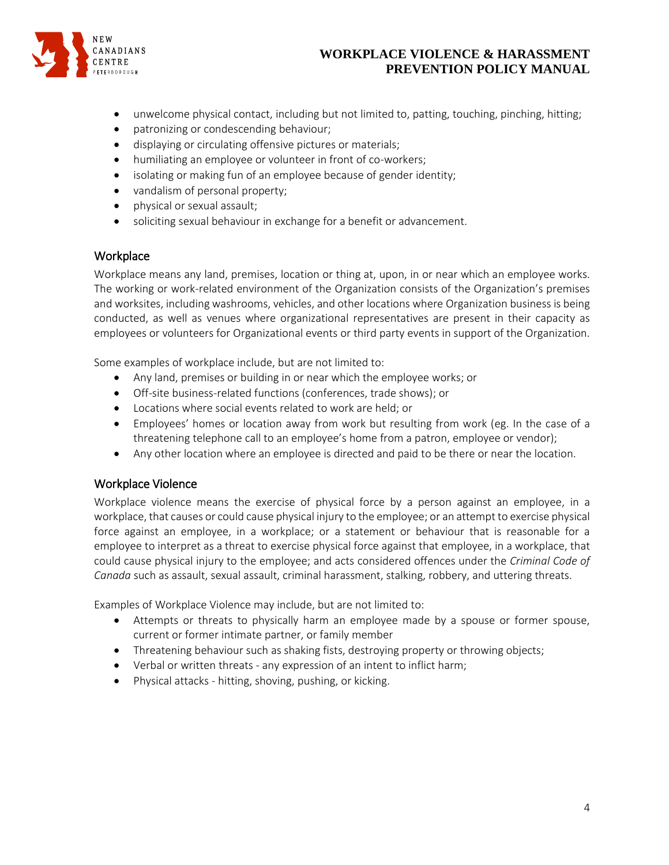

- unwelcome physical contact, including but not limited to, patting, touching, pinching, hitting;
- patronizing or condescending behaviour;
- displaying or circulating offensive pictures or materials;
- humiliating an employee or volunteer in front of co-workers;
- isolating or making fun of an employee because of gender identity;
- vandalism of personal property;
- physical or sexual assault;
- soliciting sexual behaviour in exchange for a benefit or advancement.

#### **Workplace**

Workplace means any land, premises, location or thing at, upon, in or near which an employee works. The working or work-related environment of the Organization consists of the Organization's premises and worksites, including washrooms, vehicles, and other locations where Organization business is being conducted, as well as venues where organizational representatives are present in their capacity as employees or volunteers for Organizational events or third party events in support of the Organization.

Some examples of workplace include, but are not limited to:

- Any land, premises or building in or near which the employee works; or
- Off-site business-related functions (conferences, trade shows); or
- Locations where social events related to work are held; or
- Employees' homes or location away from work but resulting from work (eg. In the case of a threatening telephone call to an employee's home from a patron, employee or vendor);
- Any other location where an employee is directed and paid to be there or near the location.

### Workplace Violence

Workplace violence means the exercise of physical force by a person against an employee, in a workplace, that causes or could cause physical injury to the employee; or an attempt to exercise physical force against an employee, in a workplace; or a statement or behaviour that is reasonable for a employee to interpret as a threat to exercise physical force against that employee, in a workplace, that could cause physical injury to the employee; and acts considered offences under the *Criminal Code of Canada* such as assault, sexual assault, criminal harassment, stalking, robbery, and uttering threats.

Examples of Workplace Violence may include, but are not limited to:

- Attempts or threats to physically harm an employee made by a spouse or former spouse, current or former intimate partner, or family member
- Threatening behaviour such as shaking fists, destroying property or throwing objects;
- Verbal or written threats any expression of an intent to inflict harm;
- Physical attacks hitting, shoving, pushing, or kicking.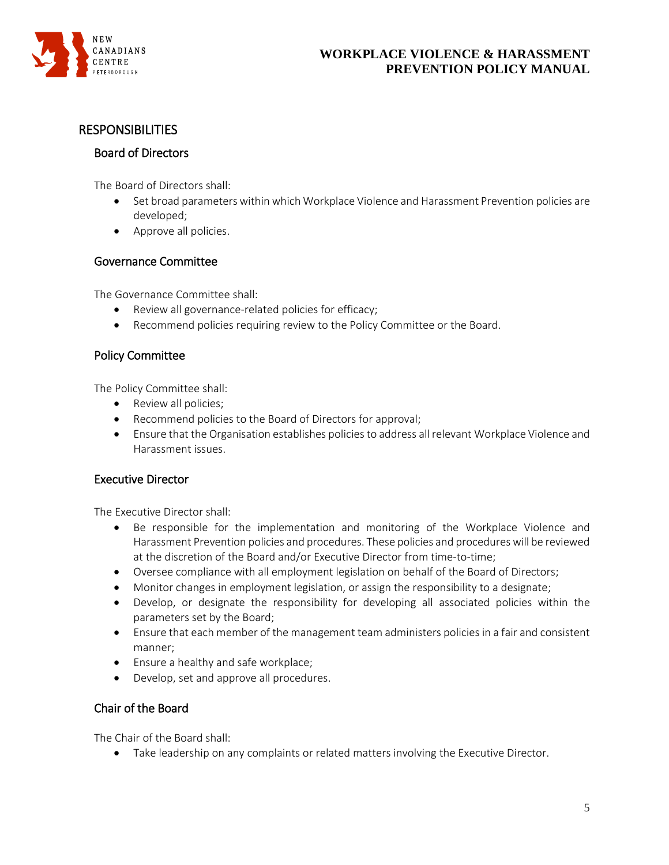

### <span id="page-4-0"></span>**RESPONSIBILITIES**

#### Board of Directors

The Board of Directors shall:

- Set broad parameters within which Workplace Violence and Harassment Prevention policies are developed;
- Approve all policies.

### Governance Committee

The Governance Committee shall:

- Review all governance-related policies for efficacy;
- Recommend policies requiring review to the Policy Committee or the Board.

### Policy Committee

The Policy Committee shall:

- Review all policies;
- Recommend policies to the Board of Directors for approval;
- Ensure that the Organisation establishes policies to address all relevant Workplace Violence and Harassment issues.

### Executive Director

The Executive Director shall:

- Be responsible for the implementation and monitoring of the Workplace Violence and Harassment Prevention policies and procedures. These policies and procedures will be reviewed at the discretion of the Board and/or Executive Director from time-to-time;
- Oversee compliance with all employment legislation on behalf of the Board of Directors;
- Monitor changes in employment legislation, or assign the responsibility to a designate;
- Develop, or designate the responsibility for developing all associated policies within the parameters set by the Board;
- Ensure that each member of the management team administers policies in a fair and consistent manner;
- Ensure a healthy and safe workplace;
- Develop, set and approve all procedures.

### Chair of the Board

The Chair of the Board shall:

Take leadership on any complaints or related matters involving the Executive Director.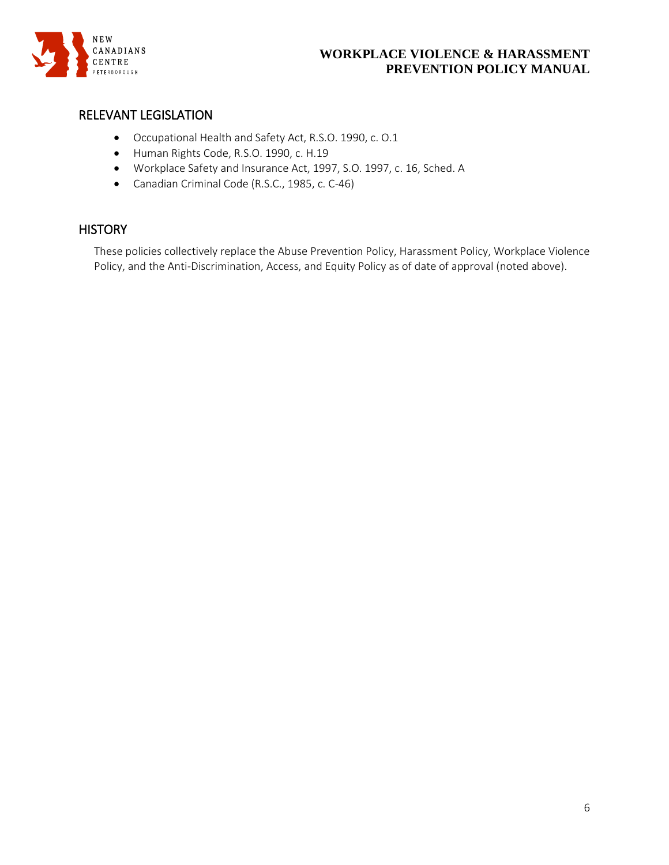

# <span id="page-5-0"></span>RELEVANT LEGISLATION

- Occupational Health and Safety Act, R.S.O. 1990, c. O.1
- Human Rights Code, R.S.O. 1990, c. H.19
- Workplace Safety and Insurance Act, 1997, S.O. 1997, c. 16, Sched. A
- Canadian Criminal Code (R.S.C., 1985, c. C-46)

### <span id="page-5-1"></span>**HISTORY**

These policies collectively replace the Abuse Prevention Policy, Harassment Policy, Workplace Violence Policy, and the Anti-Discrimination, Access, and Equity Policy as of date of approval (noted above).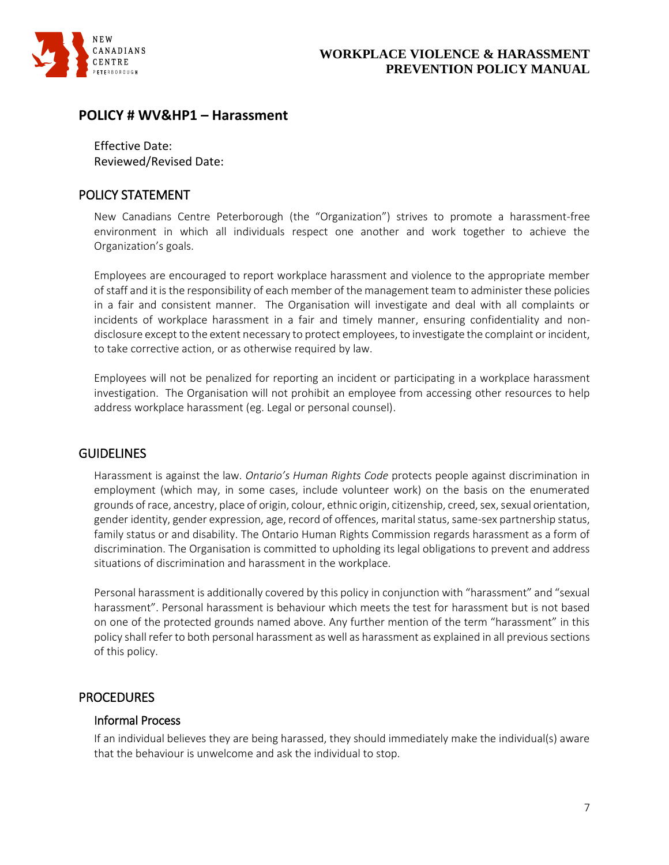

# <span id="page-6-0"></span>**POLICY # WV&HP1 – Harassment**

Effective Date: Reviewed/Revised Date:

# <span id="page-6-1"></span>POLICY STATEMENT

New Canadians Centre Peterborough (the "Organization") strives to promote a harassment-free environment in which all individuals respect one another and work together to achieve the Organization's goals.

Employees are encouraged to report workplace harassment and violence to the appropriate member of staff and it is the responsibility of each member of the management team to administer these policies in a fair and consistent manner. The Organisation will investigate and deal with all complaints or incidents of workplace harassment in a fair and timely manner, ensuring confidentiality and nondisclosure except to the extent necessary to protect employees, to investigate the complaint or incident, to take corrective action, or as otherwise required by law.

Employees will not be penalized for reporting an incident or participating in a workplace harassment investigation. The Organisation will not prohibit an employee from accessing other resources to help address workplace harassment (eg. Legal or personal counsel).

# <span id="page-6-2"></span>**GUIDELINES**

Harassment is against the law. *Ontario's Human Rights Code* protects people against discrimination in employment (which may, in some cases, include volunteer work) on the basis on the enumerated grounds of race, ancestry, place of origin, colour, ethnic origin, citizenship, creed, sex, sexual orientation, gender identity, gender expression, age, record of offences, marital status, same-sex partnership status, family status or and disability. The Ontario Human Rights Commission regards harassment as a form of discrimination. The Organisation is committed to upholding its legal obligations to prevent and address situations of discrimination and harassment in the workplace.

Personal harassment is additionally covered by this policy in conjunction with "harassment" and "sexual harassment". Personal harassment is behaviour which meets the test for harassment but is not based on one of the protected grounds named above. Any further mention of the term "harassment" in this policy shall refer to both personal harassment as well as harassment as explained in all previous sections of this policy.

# <span id="page-6-3"></span>**PROCEDURES**

### Informal Process

If an individual believes they are being harassed, they should immediately make the individual(s) aware that the behaviour is unwelcome and ask the individual to stop.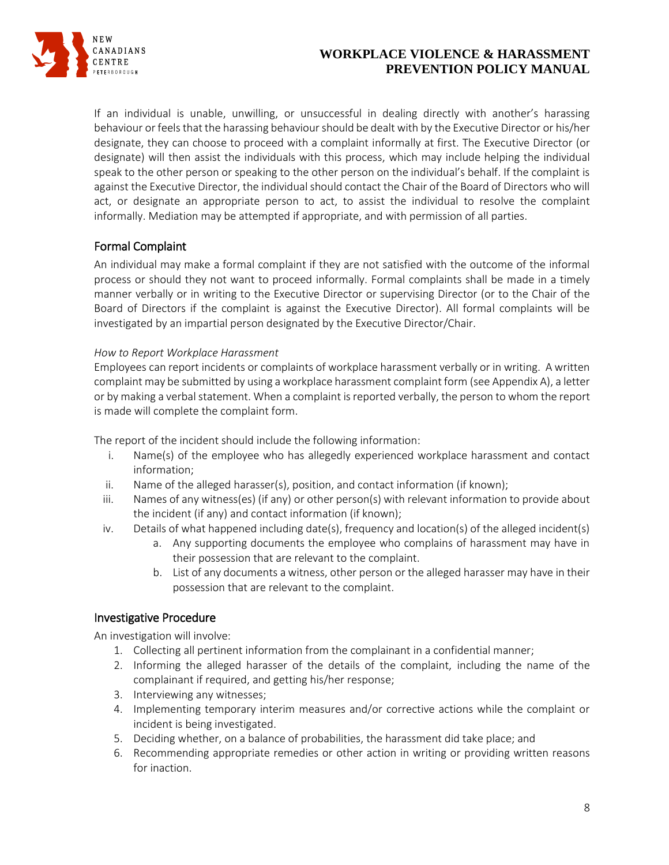

If an individual is unable, unwilling, or unsuccessful in dealing directly with another's harassing behaviour or feels that the harassing behaviour should be dealt with by the Executive Director or his/her designate, they can choose to proceed with a complaint informally at first. The Executive Director (or designate) will then assist the individuals with this process, which may include helping the individual speak to the other person or speaking to the other person on the individual's behalf. If the complaint is against the Executive Director, the individual should contact the Chair of the Board of Directors who will act, or designate an appropriate person to act, to assist the individual to resolve the complaint informally. Mediation may be attempted if appropriate, and with permission of all parties.

# Formal Complaint

An individual may make a formal complaint if they are not satisfied with the outcome of the informal process or should they not want to proceed informally. Formal complaints shall be made in a timely manner verbally or in writing to the Executive Director or supervising Director (or to the Chair of the Board of Directors if the complaint is against the Executive Director). All formal complaints will be investigated by an impartial person designated by the Executive Director/Chair.

#### *How to Report Workplace Harassment*

Employees can report incidents or complaints of workplace harassment verbally or in writing. A written complaint may be submitted by using a workplace harassment complaint form (see Appendix A), a letter or by making a verbal statement. When a complaint is reported verbally, the person to whom the report is made will complete the complaint form.

The report of the incident should include the following information:

- i. Name(s) of the employee who has allegedly experienced workplace harassment and contact information;
- ii. Name of the alleged harasser(s), position, and contact information (if known);
- iii. Names of any witness(es) (if any) or other person(s) with relevant information to provide about the incident (if any) and contact information (if known);
- iv. Details of what happened including date(s), frequency and location(s) of the alleged incident(s)
	- a. Any supporting documents the employee who complains of harassment may have in their possession that are relevant to the complaint.
	- b. List of any documents a witness, other person or the alleged harasser may have in their possession that are relevant to the complaint.

### Investigative Procedure

An investigation will involve:

- 1. Collecting all pertinent information from the complainant in a confidential manner;
- 2. Informing the alleged harasser of the details of the complaint, including the name of the complainant if required, and getting his/her response;
- 3. Interviewing any witnesses;
- 4. Implementing temporary interim measures and/or corrective actions while the complaint or incident is being investigated.
- 5. Deciding whether, on a balance of probabilities, the harassment did take place; and
- 6. Recommending appropriate remedies or other action in writing or providing written reasons for inaction.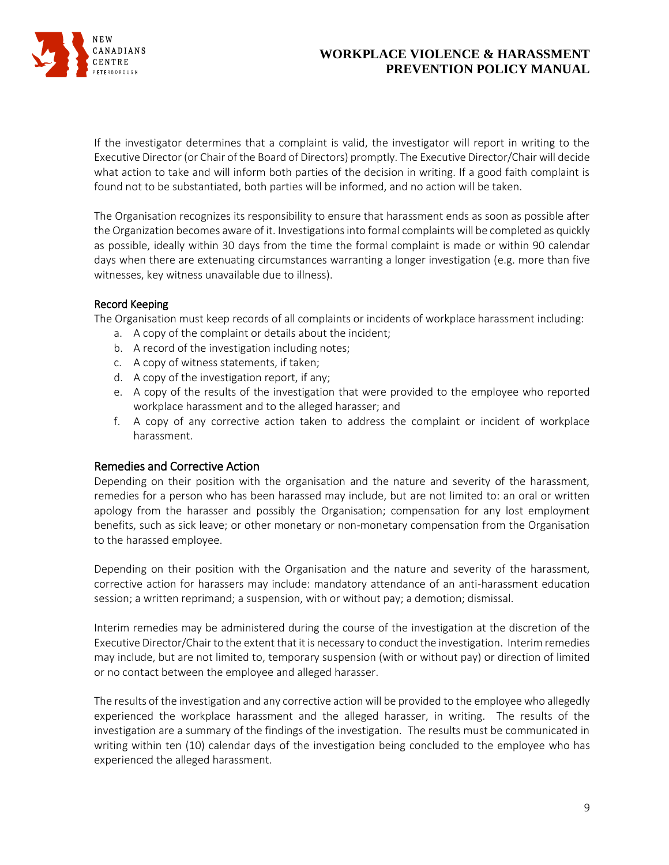

If the investigator determines that a complaint is valid, the investigator will report in writing to the Executive Director (or Chair of the Board of Directors) promptly. The Executive Director/Chair will decide what action to take and will inform both parties of the decision in writing. If a good faith complaint is found not to be substantiated, both parties will be informed, and no action will be taken.

The Organisation recognizes its responsibility to ensure that harassment ends as soon as possible after the Organization becomes aware of it. Investigations into formal complaints will be completed as quickly as possible, ideally within 30 days from the time the formal complaint is made or within 90 calendar days when there are extenuating circumstances warranting a longer investigation (e.g. more than five witnesses, key witness unavailable due to illness).

#### Record Keeping

The Organisation must keep records of all complaints or incidents of workplace harassment including:

- a. A copy of the complaint or details about the incident;
- b. A record of the investigation including notes;
- c. A copy of witness statements, if taken;
- d. A copy of the investigation report, if any;
- e. A copy of the results of the investigation that were provided to the employee who reported workplace harassment and to the alleged harasser; and
- f. A copy of any corrective action taken to address the complaint or incident of workplace harassment.

#### Remedies and Corrective Action

Depending on their position with the organisation and the nature and severity of the harassment, remedies for a person who has been harassed may include, but are not limited to: an oral or written apology from the harasser and possibly the Organisation; compensation for any lost employment benefits, such as sick leave; or other monetary or non-monetary compensation from the Organisation to the harassed employee.

Depending on their position with the Organisation and the nature and severity of the harassment, corrective action for harassers may include: mandatory attendance of an anti-harassment education session; a written reprimand; a suspension, with or without pay; a demotion; dismissal.

Interim remedies may be administered during the course of the investigation at the discretion of the Executive Director/Chair to the extent that it is necessary to conduct the investigation. Interim remedies may include, but are not limited to, temporary suspension (with or without pay) or direction of limited or no contact between the employee and alleged harasser.

The results of the investigation and any corrective action will be provided to the employee who allegedly experienced the workplace harassment and the alleged harasser, in writing. The results of the investigation are a summary of the findings of the investigation. The results must be communicated in writing within ten (10) calendar days of the investigation being concluded to the employee who has experienced the alleged harassment.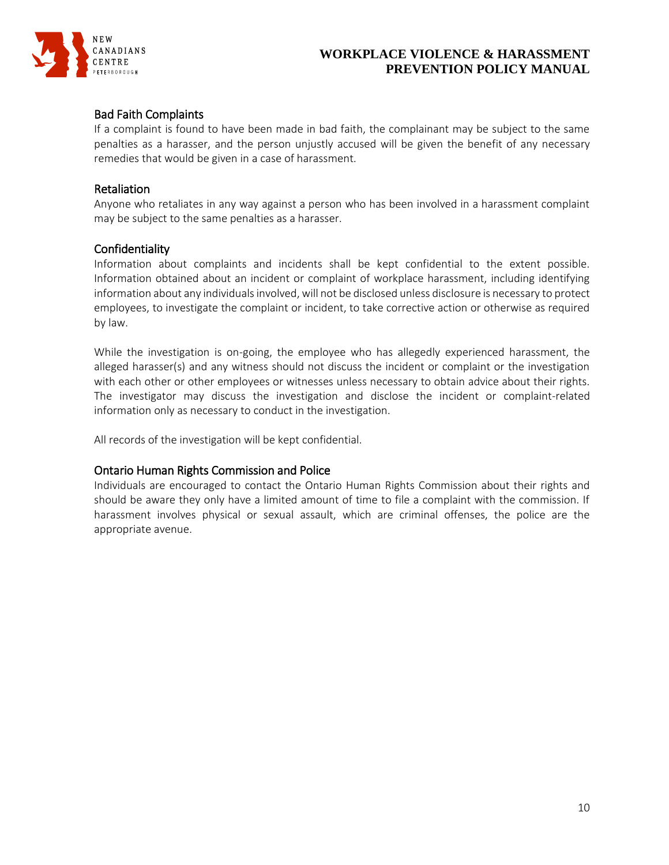

### Bad Faith Complaints

If a complaint is found to have been made in bad faith, the complainant may be subject to the same penalties as a harasser, and the person unjustly accused will be given the benefit of any necessary remedies that would be given in a case of harassment.

#### Retaliation

Anyone who retaliates in any way against a person who has been involved in a harassment complaint may be subject to the same penalties as a harasser.

#### Confidentiality

Information about complaints and incidents shall be kept confidential to the extent possible. Information obtained about an incident or complaint of workplace harassment, including identifying information about any individuals involved, will not be disclosed unless disclosure is necessary to protect employees, to investigate the complaint or incident, to take corrective action or otherwise as required by law.

While the investigation is on-going, the employee who has allegedly experienced harassment, the alleged harasser(s) and any witness should not discuss the incident or complaint or the investigation with each other or other employees or witnesses unless necessary to obtain advice about their rights. The investigator may discuss the investigation and disclose the incident or complaint-related information only as necessary to conduct in the investigation.

All records of the investigation will be kept confidential.

#### Ontario Human Rights Commission and Police

Individuals are encouraged to contact the Ontario Human Rights Commission about their rights and should be aware they only have a limited amount of time to file a complaint with the commission. If harassment involves physical or sexual assault, which are criminal offenses, the police are the appropriate avenue.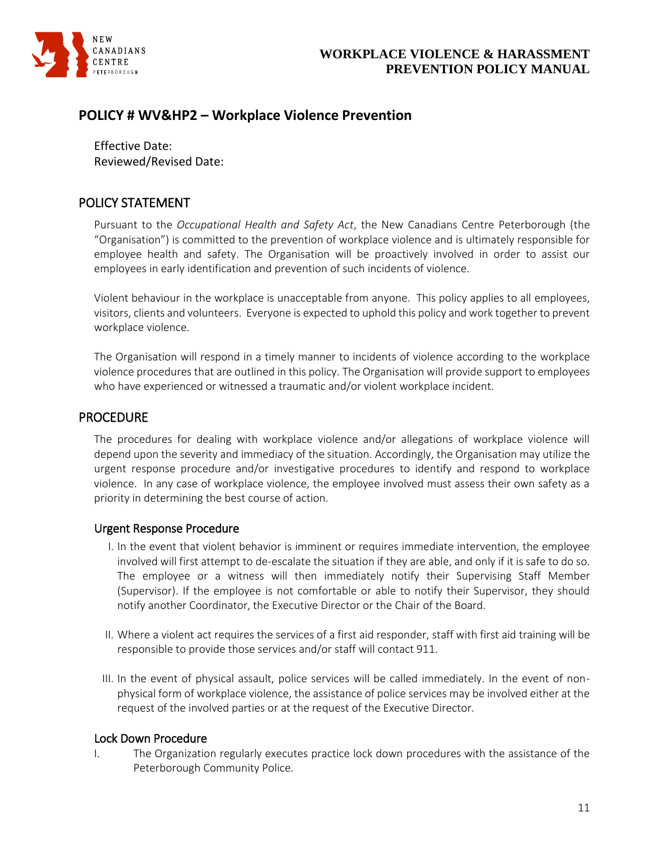

# <span id="page-10-0"></span>**POLICY # WV&HP2 – Workplace Violence Prevention**

Effective Date: Reviewed/Revised Date:

### <span id="page-10-1"></span>POLICY STATEMENT

Pursuant to the *Occupational Health and Safety Act*, the New Canadians Centre Peterborough (the "Organisation") is committed to the prevention of workplace violence and is ultimately responsible for employee health and safety. The Organisation will be proactively involved in order to assist our employees in early identification and prevention of such incidents of violence.

Violent behaviour in the workplace is unacceptable from anyone. This policy applies to all employees, visitors, clients and volunteers. Everyone is expected to uphold this policy and work together to prevent workplace violence.

The Organisation will respond in a timely manner to incidents of violence according to the workplace violence procedures that are outlined in this policy. The Organisation will provide support to employees who have experienced or witnessed a traumatic and/or violent workplace incident.

### <span id="page-10-2"></span>**PROCEDURE**

The procedures for dealing with workplace violence and/or allegations of workplace violence will depend upon the severity and immediacy of the situation. Accordingly, the Organisation may utilize the urgent response procedure and/or investigative procedures to identify and respond to workplace violence. In any case of workplace violence, the employee involved must assess their own safety as a priority in determining the best course of action.

#### Urgent Response Procedure

- I. In the event that violent behavior is imminent or requires immediate intervention, the employee involved will first attempt to de-escalate the situation if they are able, and only if it is safe to do so. The employee or a witness will then immediately notify their Supervising Staff Member (Supervisor). If the employee is not comfortable or able to notify their Supervisor, they should notify another Coordinator, the Executive Director or the Chair of the Board.
- II. Where a violent act requires the services of a first aid responder, staff with first aid training will be responsible to provide those services and/or staff will contact 911.
- III. In the event of physical assault, police services will be called immediately. In the event of nonphysical form of workplace violence, the assistance of police services may be involved either at the request of the involved parties or at the request of the Executive Director.

#### Lock Down Procedure

I. The Organization regularly executes practice lock down procedures with the assistance of the Peterborough Community Police.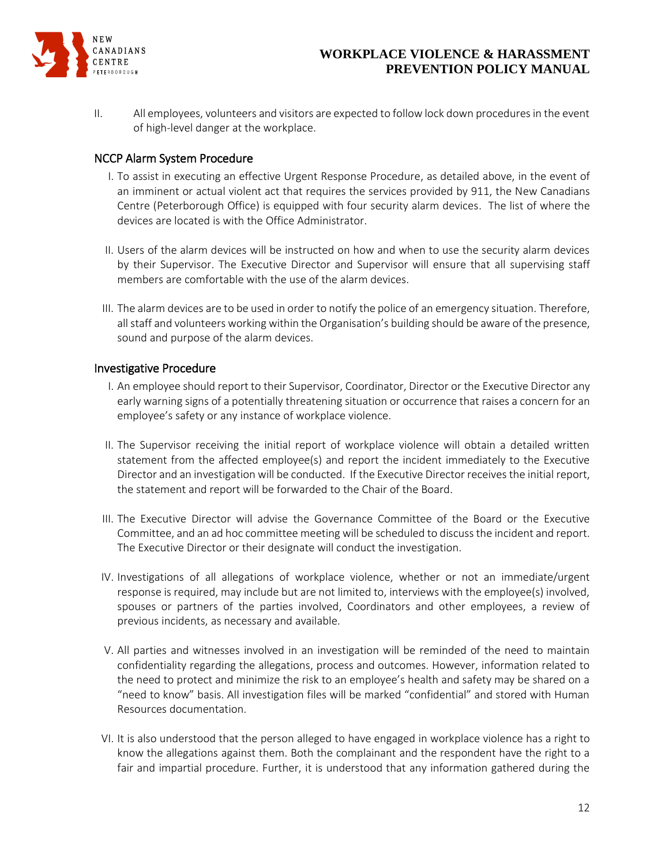

II. All employees, volunteers and visitors are expected to follow lock down procedures in the event of high-level danger at the workplace.

### NCCP Alarm System Procedure

- I. To assist in executing an effective Urgent Response Procedure, as detailed above, in the event of an imminent or actual violent act that requires the services provided by 911, the New Canadians Centre (Peterborough Office) is equipped with four security alarm devices. The list of where the devices are located is with the Office Administrator.
- II. Users of the alarm devices will be instructed on how and when to use the security alarm devices by their Supervisor. The Executive Director and Supervisor will ensure that all supervising staff members are comfortable with the use of the alarm devices.
- III. The alarm devices are to be used in order to notify the police of an emergency situation. Therefore, all staff and volunteers working within the Organisation's building should be aware of the presence, sound and purpose of the alarm devices.

#### Investigative Procedure

- I. An employee should report to their Supervisor, Coordinator, Director or the Executive Director any early warning signs of a potentially threatening situation or occurrence that raises a concern for an employee's safety or any instance of workplace violence.
- II. The Supervisor receiving the initial report of workplace violence will obtain a detailed written statement from the affected employee(s) and report the incident immediately to the Executive Director and an investigation will be conducted. If the Executive Director receives the initial report, the statement and report will be forwarded to the Chair of the Board.
- III. The Executive Director will advise the Governance Committee of the Board or the Executive Committee, and an ad hoc committee meeting will be scheduled to discuss the incident and report. The Executive Director or their designate will conduct the investigation.
- IV. Investigations of all allegations of workplace violence, whether or not an immediate/urgent response is required, may include but are not limited to, interviews with the employee(s) involved, spouses or partners of the parties involved, Coordinators and other employees, a review of previous incidents, as necessary and available.
- V. All parties and witnesses involved in an investigation will be reminded of the need to maintain confidentiality regarding the allegations, process and outcomes. However, information related to the need to protect and minimize the risk to an employee's health and safety may be shared on a "need to know" basis. All investigation files will be marked "confidential" and stored with Human Resources documentation.
- VI. It is also understood that the person alleged to have engaged in workplace violence has a right to know the allegations against them. Both the complainant and the respondent have the right to a fair and impartial procedure. Further, it is understood that any information gathered during the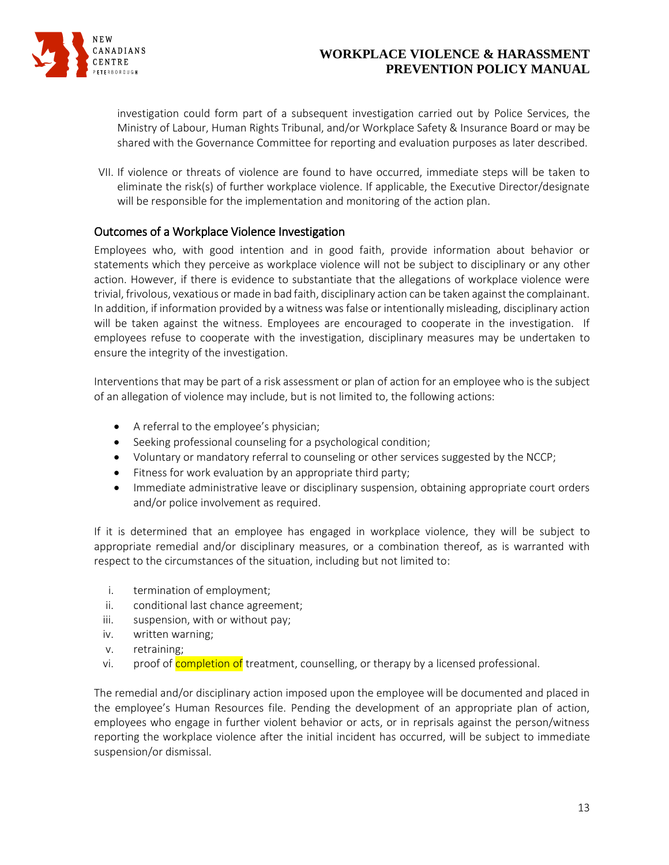

investigation could form part of a subsequent investigation carried out by Police Services, the Ministry of Labour, Human Rights Tribunal, and/or Workplace Safety & Insurance Board or may be shared with the Governance Committee for reporting and evaluation purposes as later described.

VII. If violence or threats of violence are found to have occurred, immediate steps will be taken to eliminate the risk(s) of further workplace violence. If applicable, the Executive Director/designate will be responsible for the implementation and monitoring of the action plan.

### Outcomes of a Workplace Violence Investigation

Employees who, with good intention and in good faith, provide information about behavior or statements which they perceive as workplace violence will not be subject to disciplinary or any other action. However, if there is evidence to substantiate that the allegations of workplace violence were trivial, frivolous, vexatious or made in bad faith, disciplinary action can be taken against the complainant. In addition, if information provided by a witness was false or intentionally misleading, disciplinary action will be taken against the witness. Employees are encouraged to cooperate in the investigation. If employees refuse to cooperate with the investigation, disciplinary measures may be undertaken to ensure the integrity of the investigation.

Interventions that may be part of a risk assessment or plan of action for an employee who is the subject of an allegation of violence may include, but is not limited to, the following actions:

- A referral to the employee's physician;
- Seeking professional counseling for a psychological condition;
- Voluntary or mandatory referral to counseling or other services suggested by the NCCP;
- Fitness for work evaluation by an appropriate third party;
- Immediate administrative leave or disciplinary suspension, obtaining appropriate court orders and/or police involvement as required.

If it is determined that an employee has engaged in workplace violence, they will be subject to appropriate remedial and/or disciplinary measures, or a combination thereof, as is warranted with respect to the circumstances of the situation, including but not limited to:

- i. termination of employment;
- ii. conditional last chance agreement;
- iii. suspension, with or without pay;
- iv. written warning;
- v. retraining;
- vi. proof of completion of treatment, counselling, or therapy by a licensed professional.

The remedial and/or disciplinary action imposed upon the employee will be documented and placed in the employee's Human Resources file. Pending the development of an appropriate plan of action, employees who engage in further violent behavior or acts, or in reprisals against the person/witness reporting the workplace violence after the initial incident has occurred, will be subject to immediate suspension/or dismissal.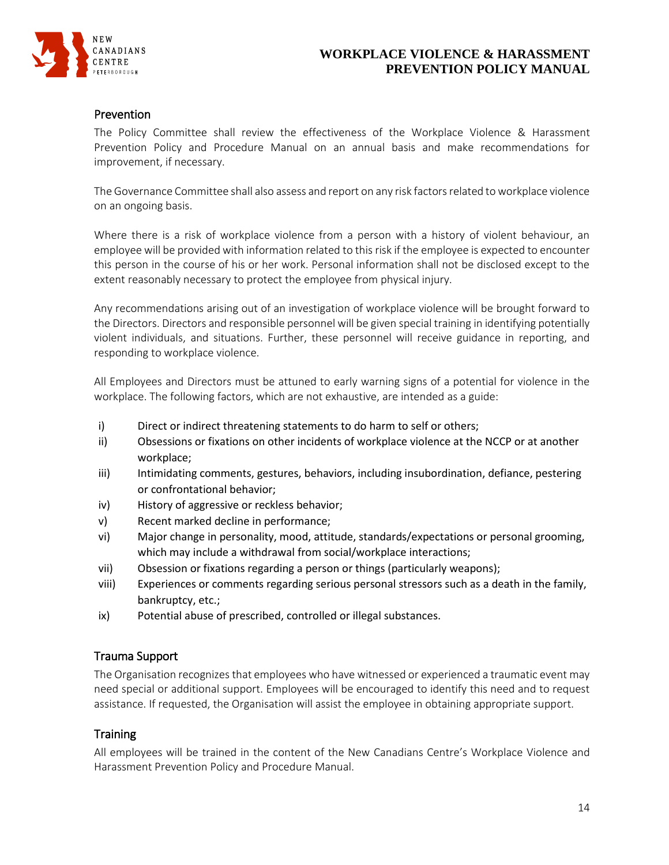

#### Prevention

The Policy Committee shall review the effectiveness of the Workplace Violence & Harassment Prevention Policy and Procedure Manual on an annual basis and make recommendations for improvement, if necessary.

The Governance Committee shall also assess and report on any risk factors related to workplace violence on an ongoing basis.

Where there is a risk of workplace violence from a person with a history of violent behaviour, an employee will be provided with information related to this risk if the employee is expected to encounter this person in the course of his or her work. Personal information shall not be disclosed except to the extent reasonably necessary to protect the employee from physical injury.

Any recommendations arising out of an investigation of workplace violence will be brought forward to the Directors. Directors and responsible personnel will be given special training in identifying potentially violent individuals, and situations. Further, these personnel will receive guidance in reporting, and responding to workplace violence.

All Employees and Directors must be attuned to early warning signs of a potential for violence in the workplace. The following factors, which are not exhaustive, are intended as a guide:

- i) Direct or indirect threatening statements to do harm to self or others;
- ii) Obsessions or fixations on other incidents of workplace violence at the NCCP or at another workplace;
- iii) Intimidating comments, gestures, behaviors, including insubordination, defiance, pestering or confrontational behavior;
- iv) History of aggressive or reckless behavior;
- v) Recent marked decline in performance;
- vi) Major change in personality, mood, attitude, standards/expectations or personal grooming, which may include a withdrawal from social/workplace interactions;
- vii) Obsession or fixations regarding a person or things (particularly weapons);
- viii) Experiences or comments regarding serious personal stressors such as a death in the family, bankruptcy, etc.;
- ix) Potential abuse of prescribed, controlled or illegal substances.

#### Trauma Support

The Organisation recognizes that employees who have witnessed or experienced a traumatic event may need special or additional support. Employees will be encouraged to identify this need and to request assistance. If requested, the Organisation will assist the employee in obtaining appropriate support.

### **Training**

All employees will be trained in the content of the New Canadians Centre's Workplace Violence and Harassment Prevention Policy and Procedure Manual.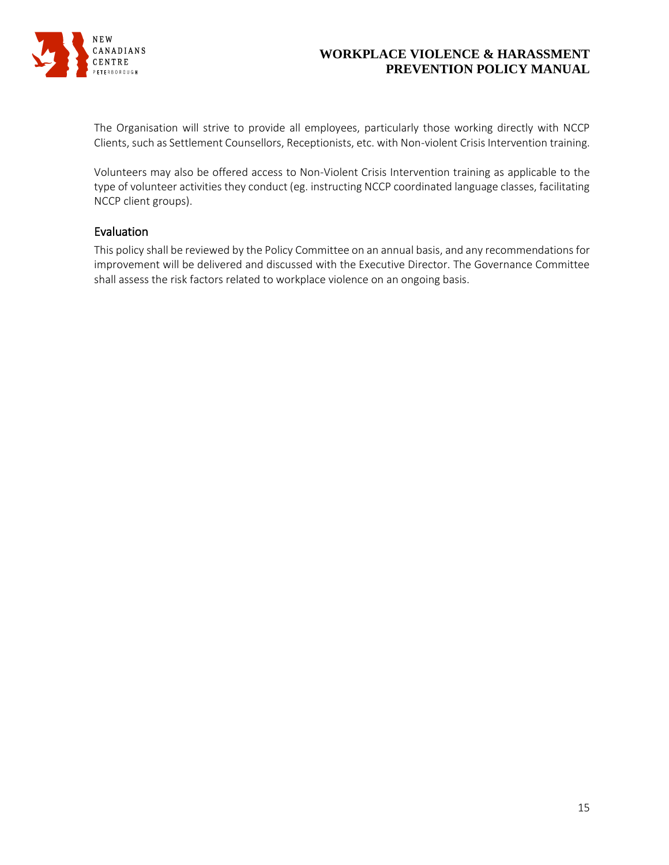

The Organisation will strive to provide all employees, particularly those working directly with NCCP Clients, such as Settlement Counsellors, Receptionists, etc. with Non-violent Crisis Intervention training.

Volunteers may also be offered access to Non-Violent Crisis Intervention training as applicable to the type of volunteer activities they conduct (eg. instructing NCCP coordinated language classes, facilitating NCCP client groups).

### Evaluation

This policy shall be reviewed by the Policy Committee on an annual basis, and any recommendations for improvement will be delivered and discussed with the Executive Director. The Governance Committee shall assess the risk factors related to workplace violence on an ongoing basis.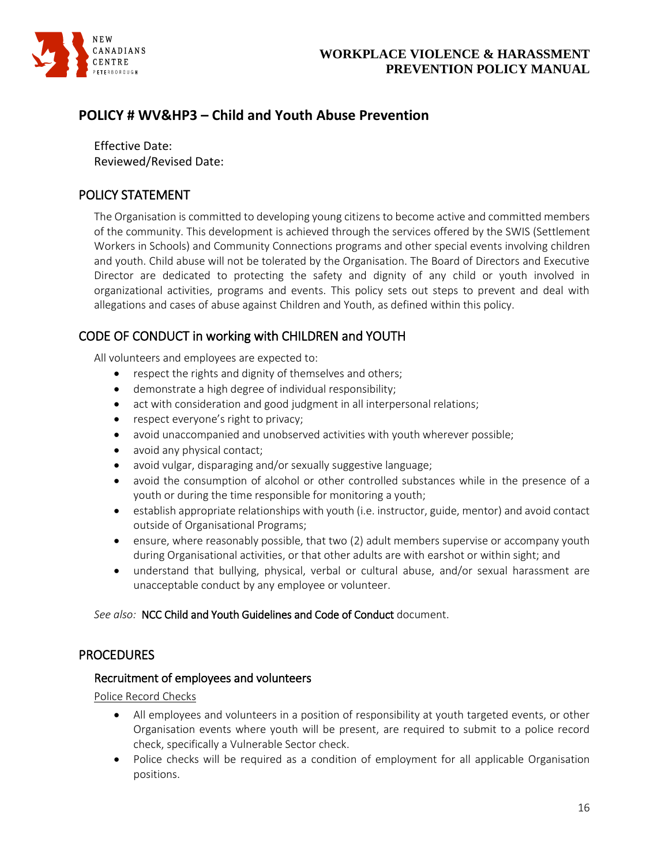

# <span id="page-15-0"></span>**POLICY # WV&HP3 – Child and Youth Abuse Prevention**

Effective Date: Reviewed/Revised Date:

# <span id="page-15-1"></span>POLICY STATEMENT

The Organisation is committed to developing young citizens to become active and committed members of the community. This development is achieved through the services offered by the SWIS (Settlement Workers in Schools) and Community Connections programs and other special events involving children and youth. Child abuse will not be tolerated by the Organisation. The Board of Directors and Executive Director are dedicated to protecting the safety and dignity of any child or youth involved in organizational activities, programs and events. This policy sets out steps to prevent and deal with allegations and cases of abuse against Children and Youth, as defined within this policy.

# <span id="page-15-2"></span>CODE OF CONDUCT in working with CHILDREN and YOUTH

All volunteers and employees are expected to:

- respect the rights and dignity of themselves and others;
- demonstrate a high degree of individual responsibility;
- act with consideration and good judgment in all interpersonal relations;
- respect everyone's right to privacy;
- avoid unaccompanied and unobserved activities with youth wherever possible;
- avoid any physical contact;
- avoid vulgar, disparaging and/or sexually suggestive language;
- avoid the consumption of alcohol or other controlled substances while in the presence of a youth or during the time responsible for monitoring a youth;
- establish appropriate relationships with youth (i.e. instructor, guide, mentor) and avoid contact outside of Organisational Programs;
- ensure, where reasonably possible, that two (2) adult members supervise or accompany youth during Organisational activities, or that other adults are with earshot or within sight; and
- understand that bullying, physical, verbal or cultural abuse, and/or sexual harassment are unacceptable conduct by any employee or volunteer.

*See also:* NCC Child and Youth Guidelines and Code of Conduct document.

# <span id="page-15-3"></span>**PROCEDURES**

#### Recruitment of employees and volunteers

Police Record Checks

- All employees and volunteers in a position of responsibility at youth targeted events, or other Organisation events where youth will be present, are required to submit to a police record check, specifically a Vulnerable Sector check.
- Police checks will be required as a condition of employment for all applicable Organisation positions.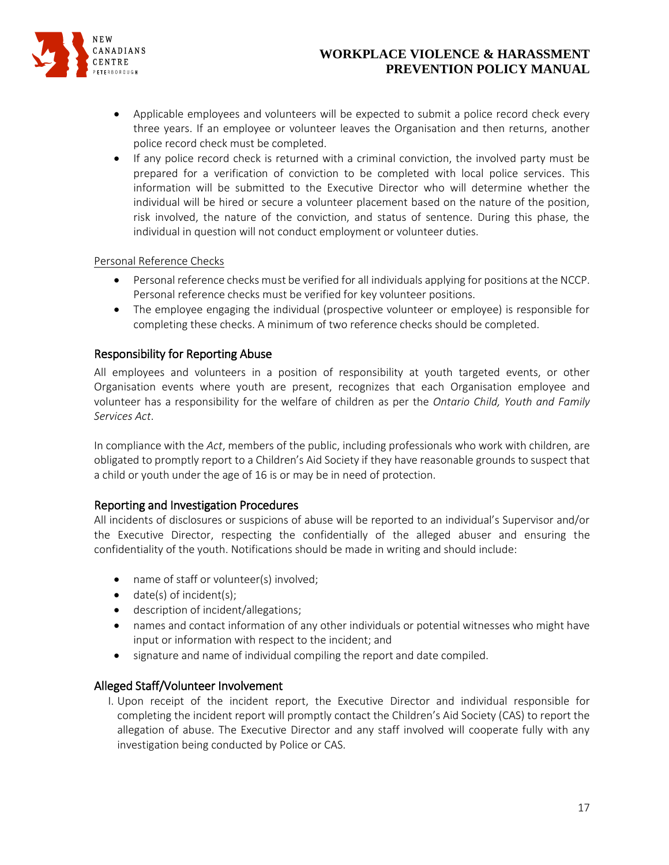

- Applicable employees and volunteers will be expected to submit a police record check every three years. If an employee or volunteer leaves the Organisation and then returns, another police record check must be completed.
- If any police record check is returned with a criminal conviction, the involved party must be prepared for a verification of conviction to be completed with local police services. This information will be submitted to the Executive Director who will determine whether the individual will be hired or secure a volunteer placement based on the nature of the position, risk involved, the nature of the conviction, and status of sentence. During this phase, the individual in question will not conduct employment or volunteer duties.

#### Personal Reference Checks

- Personal reference checks must be verified for all individuals applying for positions at the NCCP. Personal reference checks must be verified for key volunteer positions.
- The employee engaging the individual (prospective volunteer or employee) is responsible for completing these checks. A minimum of two reference checks should be completed.

### Responsibility for Reporting Abuse

All employees and volunteers in a position of responsibility at youth targeted events, or other Organisation events where youth are present, recognizes that each Organisation employee and volunteer has a responsibility for the welfare of children as per the *Ontario Child, Youth and Family Services Act*.

In compliance with the *Act*, members of the public, including professionals who work with children, are obligated to promptly report to a Children's Aid Society if they have reasonable grounds to suspect that a child or youth under the age of 16 is or may be in need of protection.

### Reporting and Investigation Procedures

All incidents of disclosures or suspicions of abuse will be reported to an individual's Supervisor and/or the Executive Director, respecting the confidentially of the alleged abuser and ensuring the confidentiality of the youth. Notifications should be made in writing and should include:

- name of staff or volunteer(s) involved;
- $\bullet$  date(s) of incident(s);
- **•** description of incident/allegations;
- names and contact information of any other individuals or potential witnesses who might have input or information with respect to the incident; and
- signature and name of individual compiling the report and date compiled.

#### Alleged Staff/Volunteer Involvement

I. Upon receipt of the incident report, the Executive Director and individual responsible for completing the incident report will promptly contact the Children's Aid Society (CAS) to report the allegation of abuse. The Executive Director and any staff involved will cooperate fully with any investigation being conducted by Police or CAS.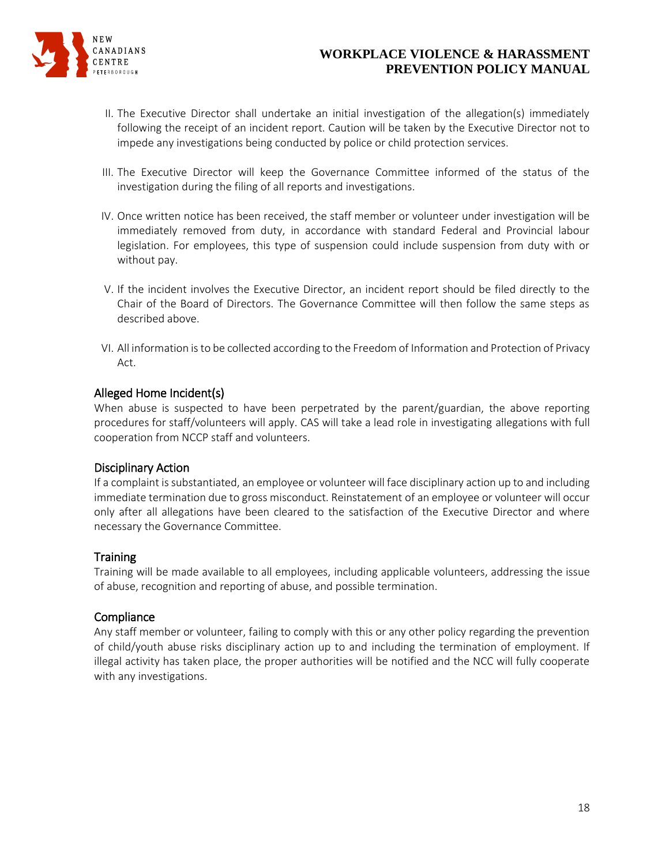

- II. The Executive Director shall undertake an initial investigation of the allegation(s) immediately following the receipt of an incident report. Caution will be taken by the Executive Director not to impede any investigations being conducted by police or child protection services.
- III. The Executive Director will keep the Governance Committee informed of the status of the investigation during the filing of all reports and investigations.
- IV. Once written notice has been received, the staff member or volunteer under investigation will be immediately removed from duty, in accordance with standard Federal and Provincial labour legislation. For employees, this type of suspension could include suspension from duty with or without pay.
- V. If the incident involves the Executive Director, an incident report should be filed directly to the Chair of the Board of Directors. The Governance Committee will then follow the same steps as described above.
- VI. All information is to be collected according to the Freedom of Information and Protection of Privacy Act.

#### Alleged Home Incident(s)

When abuse is suspected to have been perpetrated by the parent/guardian, the above reporting procedures for staff/volunteers will apply. CAS will take a lead role in investigating allegations with full cooperation from NCCP staff and volunteers.

#### Disciplinary Action

If a complaint is substantiated, an employee or volunteer will face disciplinary action up to and including immediate termination due to gross misconduct. Reinstatement of an employee or volunteer will occur only after all allegations have been cleared to the satisfaction of the Executive Director and where necessary the Governance Committee.

#### **Training**

Training will be made available to all employees, including applicable volunteers, addressing the issue of abuse, recognition and reporting of abuse, and possible termination.

#### **Compliance**

Any staff member or volunteer, failing to comply with this or any other policy regarding the prevention of child/youth abuse risks disciplinary action up to and including the termination of employment. If illegal activity has taken place, the proper authorities will be notified and the NCC will fully cooperate with any investigations.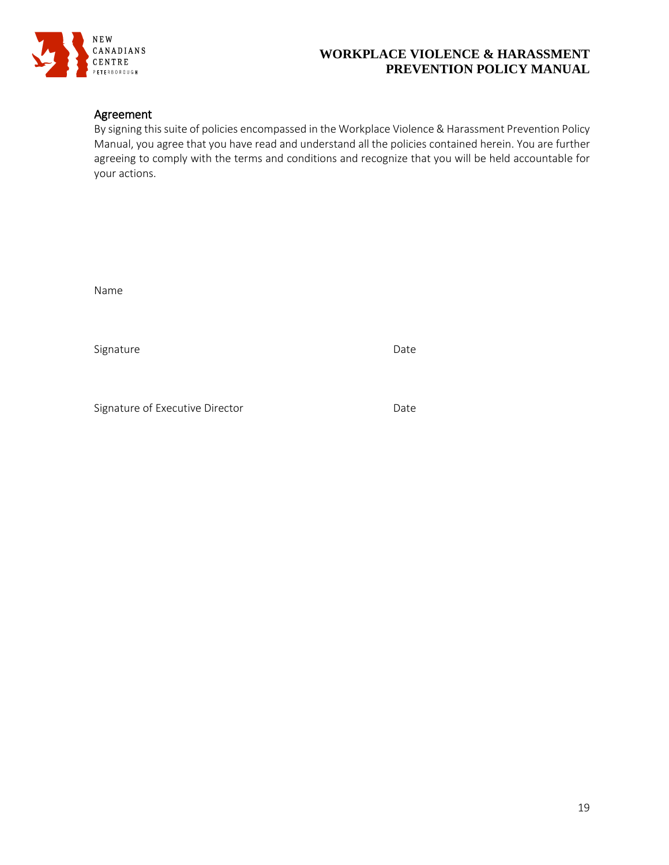

### Agreement

By signing this suite of policies encompassed in the Workplace Violence & Harassment Prevention Policy Manual, you agree that you have read and understand all the policies contained herein. You are further agreeing to comply with the terms and conditions and recognize that you will be held accountable for your actions.

Name

Signature Date Date

Signature of Executive Director **Date** Date